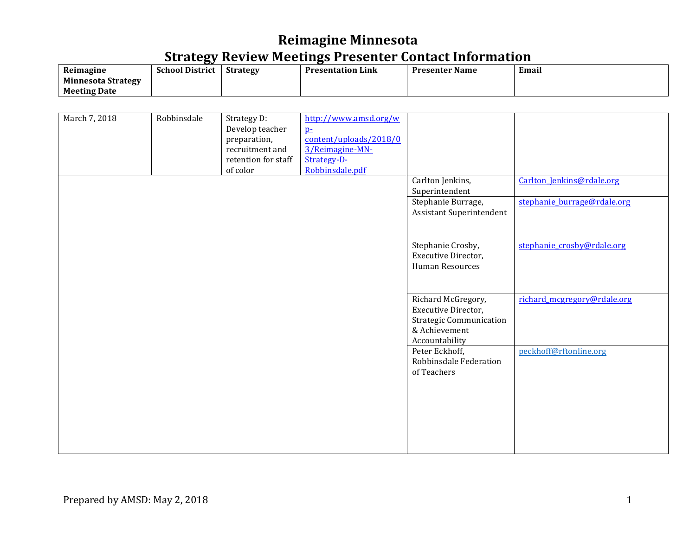|                           | --                     |                 |                          |                |       |
|---------------------------|------------------------|-----------------|--------------------------|----------------|-------|
| Reimagine                 | <b>School District</b> | <b>Strategy</b> | <b>Presentation Link</b> | Presenter Name | Email |
| <b>Minnesota Strategy</b> |                        |                 |                          |                |       |
| <b>Meeting Date</b>       |                        |                 |                          |                |       |

| March 7, 2018 | Robbinsdale | Strategy D:<br>Develop teacher<br>preparation,<br>recruitment and<br>retention for staff<br>of color | http://www.amsd.org/w<br>$p_{\pm}$<br>content/uploads/2018/0<br>3/Reimagine-MN-<br>Strategy-D-<br>Robbinsdale.pdf |                                                                                                                |                             |
|---------------|-------------|------------------------------------------------------------------------------------------------------|-------------------------------------------------------------------------------------------------------------------|----------------------------------------------------------------------------------------------------------------|-----------------------------|
|               |             |                                                                                                      |                                                                                                                   | Carlton Jenkins,<br>Superintendent                                                                             | Carlton_Jenkins@rdale.org   |
|               |             |                                                                                                      |                                                                                                                   | Stephanie Burrage,<br>Assistant Superintendent                                                                 | stephanie_burrage@rdale.org |
|               |             |                                                                                                      |                                                                                                                   | Stephanie Crosby,<br>Executive Director,<br>Human Resources                                                    | stephanie_crosby@rdale.org  |
|               |             |                                                                                                      |                                                                                                                   | Richard McGregory,<br>Executive Director,<br><b>Strategic Communication</b><br>& Achievement<br>Accountability | richard_mcgregory@rdale.org |
|               |             |                                                                                                      |                                                                                                                   | Peter Eckhoff,<br>Robbinsdale Federation<br>of Teachers                                                        | peckhoff@rftonline.org      |
|               |             |                                                                                                      |                                                                                                                   |                                                                                                                |                             |
|               |             |                                                                                                      |                                                                                                                   |                                                                                                                |                             |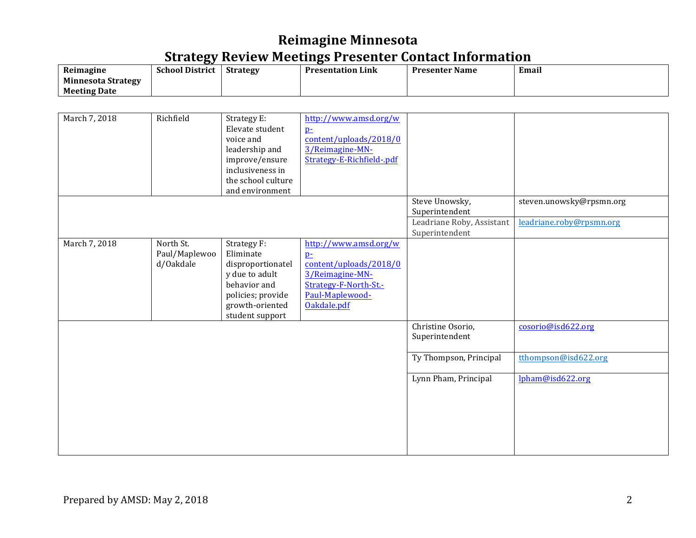| Reimagine                 | --<br><b>School District</b> | <b>Strategy</b> | <b>Presentation Link</b> | <b>Presenter Name</b> | -<br>Email |
|---------------------------|------------------------------|-----------------|--------------------------|-----------------------|------------|
| <b>Minnesota Strategy</b> |                              |                 |                          |                       |            |
| <b>Meeting Date</b>       |                              |                 |                          |                       |            |

| March 7, 2018 | Richfield                               | Strategy E:<br>Elevate student<br>voice and<br>leadership and<br>improve/ensure<br>inclusiveness in<br>the school culture<br>and environment | http://www.amsd.org/w<br>$p_{\pm}$<br>content/uploads/2018/0<br>3/Reimagine-MN-<br>Strategy-E-Richfield-.pdf                          |                                                               |                                                      |
|---------------|-----------------------------------------|----------------------------------------------------------------------------------------------------------------------------------------------|---------------------------------------------------------------------------------------------------------------------------------------|---------------------------------------------------------------|------------------------------------------------------|
|               |                                         |                                                                                                                                              |                                                                                                                                       | Steve Unowsky,<br>Superintendent<br>Leadriane Roby, Assistant | steven.unowsky@rpsmn.org<br>leadriane.roby@rpsmn.org |
|               |                                         |                                                                                                                                              |                                                                                                                                       | Superintendent                                                |                                                      |
| March 7, 2018 | North St.<br>Paul/Maplewoo<br>d/Oakdale | Strategy F:<br>Eliminate<br>disproportionatel<br>y due to adult<br>behavior and<br>policies; provide<br>growth-oriented<br>student support   | http://www.amsd.org/w<br>$p-$<br>content/uploads/2018/0<br>3/Reimagine-MN-<br>Strategy-F-North-St.-<br>Paul-Maplewood-<br>Oakdale.pdf |                                                               |                                                      |
|               |                                         |                                                                                                                                              |                                                                                                                                       | Christine Osorio,<br>Superintendent                           | cosorio@isd622.org                                   |
|               |                                         |                                                                                                                                              |                                                                                                                                       | Ty Thompson, Principal                                        | tthompson@isd622.org                                 |
|               |                                         |                                                                                                                                              |                                                                                                                                       | Lynn Pham, Principal                                          | lpham@isd622.org                                     |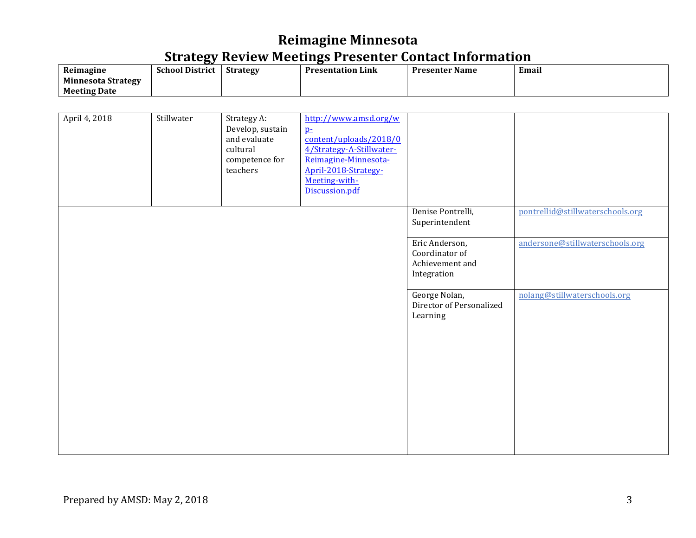| Reimagine                 | --<br><b>School District</b> | <b>Strategy</b> | <b>Presentation Link</b> | <b>Presenter Name</b> | -<br>Email |
|---------------------------|------------------------------|-----------------|--------------------------|-----------------------|------------|
| <b>Minnesota Strategy</b> |                              |                 |                          |                       |            |
| <b>Meeting Date</b>       |                              |                 |                          |                       |            |

| April 4, 2018 | Stillwater | Strategy A:<br>Develop, sustain<br>and evaluate<br>cultural<br>competence for<br>teachers | http://www.amsd.org/w<br>$p-$<br>content/uploads/2018/0<br>4/Strategy-A-Stillwater-<br>Reimagine-Minnesota-<br>April-2018-Strategy-<br>Meeting-with-<br>Discussion.pdf |                                                                    |                                  |
|---------------|------------|-------------------------------------------------------------------------------------------|------------------------------------------------------------------------------------------------------------------------------------------------------------------------|--------------------------------------------------------------------|----------------------------------|
|               |            |                                                                                           |                                                                                                                                                                        | Denise Pontrelli,<br>Superintendent                                | pontrellid@stillwaterschools.org |
|               |            |                                                                                           |                                                                                                                                                                        | Eric Anderson,<br>Coordinator of<br>Achievement and<br>Integration | andersone@stillwaterschools.org  |
|               |            |                                                                                           |                                                                                                                                                                        | George Nolan,<br>Director of Personalized<br>Learning              | nolang@stillwaterschools.org     |
|               |            |                                                                                           |                                                                                                                                                                        |                                                                    |                                  |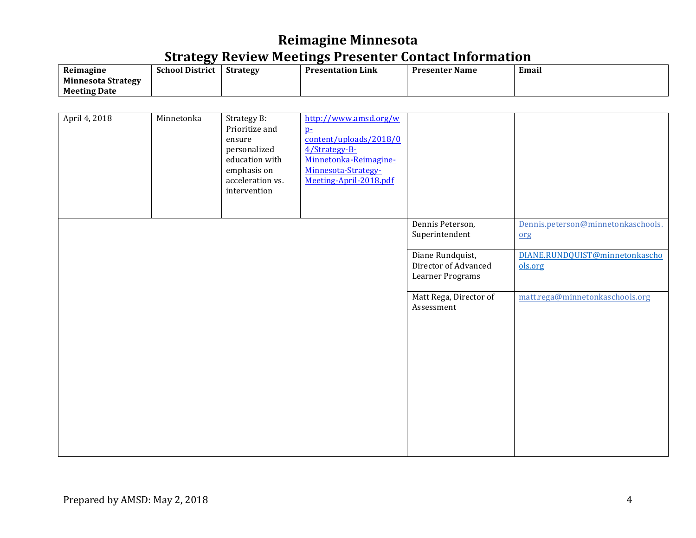|                           | --                     |                 |                          |                       |       |
|---------------------------|------------------------|-----------------|--------------------------|-----------------------|-------|
| Reimagine                 | <b>School District</b> | <b>Strategy</b> | <b>Presentation Link</b> | <b>Presenter Name</b> | Email |
| <b>Minnesota Strategy</b> |                        |                 |                          |                       |       |
| <b>Meeting Date</b>       |                        |                 |                          |                       |       |

| April 4, 2018 | Minnetonka | Strategy B:<br>Prioritize and<br>ensure<br>personalized<br>education with<br>emphasis on<br>acceleration vs.<br>intervention | http://www.amsd.org/w<br>$p_{\pm}$<br>content/uploads/2018/0<br>4/Strategy-B-<br>Minnetonka-Reimagine-<br>Minnesota-Strategy-<br>Meeting-April-2018.pdf |                                                              |                                           |
|---------------|------------|------------------------------------------------------------------------------------------------------------------------------|---------------------------------------------------------------------------------------------------------------------------------------------------------|--------------------------------------------------------------|-------------------------------------------|
|               |            |                                                                                                                              |                                                                                                                                                         | Dennis Peterson,<br>Superintendent                           | Dennis.peterson@minnetonkaschools.<br>org |
|               |            |                                                                                                                              |                                                                                                                                                         | Diane Rundquist,<br>Director of Advanced<br>Learner Programs | DIANE.RUNDQUIST@minnetonkascho<br>ols.org |
|               |            |                                                                                                                              |                                                                                                                                                         | Matt Rega, Director of<br>Assessment                         | matt.rega@minnetonkaschools.org           |
|               |            |                                                                                                                              |                                                                                                                                                         |                                                              |                                           |
|               |            |                                                                                                                              |                                                                                                                                                         |                                                              |                                           |
|               |            |                                                                                                                              |                                                                                                                                                         |                                                              |                                           |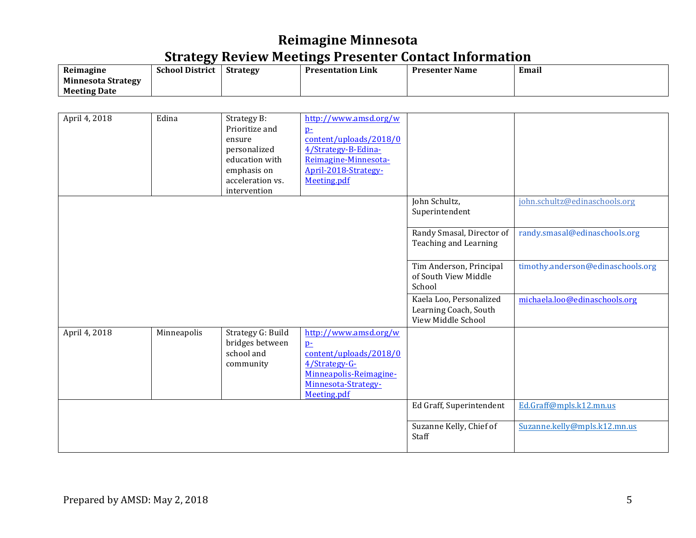| Reimagine                 | --<br><b>School District</b> | <b>Strategy</b> | <b>Presentation Link</b> | <b>Presenter Name</b> | Email |
|---------------------------|------------------------------|-----------------|--------------------------|-----------------------|-------|
| <b>Minnesota Strategy</b> |                              |                 |                          |                       |       |
| <b>Meeting Date</b>       |                              |                 |                          |                       |       |

| April 4, 2018 | Edina       | Strategy B:<br>Prioritize and<br>ensure<br>personalized<br>education with<br>emphasis on<br>acceleration vs.<br>intervention | http://www.amsd.org/w<br>p <sub>z</sub><br>content/uploads/2018/0<br>4/Strategy-B-Edina-<br>Reimagine-Minnesota-<br>April-2018-Strategy-<br>Meeting.pdf |                                                                        |                                   |
|---------------|-------------|------------------------------------------------------------------------------------------------------------------------------|---------------------------------------------------------------------------------------------------------------------------------------------------------|------------------------------------------------------------------------|-----------------------------------|
|               |             |                                                                                                                              |                                                                                                                                                         | John Schultz,<br>Superintendent                                        | john.schultz@edinaschools.org     |
|               |             |                                                                                                                              |                                                                                                                                                         | Randy Smasal, Director of<br>Teaching and Learning                     | randy.smasal@edinaschools.org     |
|               |             |                                                                                                                              |                                                                                                                                                         | Tim Anderson, Principal<br>of South View Middle<br>School              | timothy.anderson@edinaschools.org |
|               |             |                                                                                                                              |                                                                                                                                                         | Kaela Loo, Personalized<br>Learning Coach, South<br>View Middle School | michaela.loo@edinaschools.org     |
| April 4, 2018 | Minneapolis | Strategy G: Build<br>bridges between<br>school and<br>community                                                              | http://www.amsd.org/w<br>$p-$<br>content/uploads/2018/0<br>4/Strategy-G-<br>Minneapolis-Reimagine-<br>Minnesota-Strategy-<br>Meeting.pdf                |                                                                        |                                   |
|               |             |                                                                                                                              |                                                                                                                                                         | Ed Graff, Superintendent                                               | Ed.Graff@mpls.k12.mn.us           |
|               |             |                                                                                                                              |                                                                                                                                                         | Suzanne Kelly, Chief of<br>Staff                                       | Suzanne.kelly@mpls.k12.mn.us      |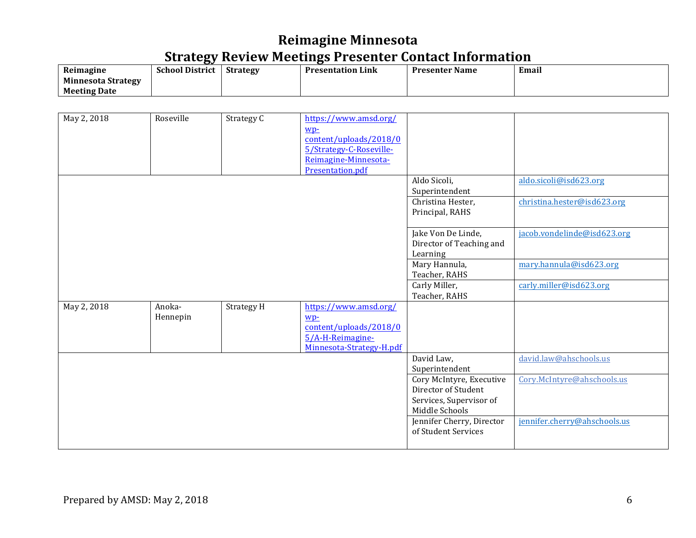|                           | --                     |                 |                          |                       |       |
|---------------------------|------------------------|-----------------|--------------------------|-----------------------|-------|
| Reimagine                 | <b>School District</b> | <b>Strategy</b> | <b>Presentation Link</b> | <b>Presenter Name</b> | Email |
| <b>Minnesota Strategy</b> |                        |                 |                          |                       |       |
| <b>Meeting Date</b>       |                        |                 |                          |                       |       |

| May 2, 2018 | Roseville | Strategy C | https://www.amsd.org/         |                           |                              |
|-------------|-----------|------------|-------------------------------|---------------------------|------------------------------|
|             |           |            |                               |                           |                              |
|             |           |            | wp-<br>content/uploads/2018/0 |                           |                              |
|             |           |            |                               |                           |                              |
|             |           |            | 5/Strategy-C-Roseville-       |                           |                              |
|             |           |            | Reimagine-Minnesota-          |                           |                              |
|             |           |            | Presentation.pdf              |                           |                              |
|             |           |            |                               | Aldo Sicoli,              | aldo.sicoli@isd623.org       |
|             |           |            |                               | Superintendent            |                              |
|             |           |            |                               | Christina Hester,         | christina.hester@isd623.org  |
|             |           |            |                               | Principal, RAHS           |                              |
|             |           |            |                               |                           |                              |
|             |           |            |                               | Jake Von De Linde,        | jacob.vondelinde@isd623.org  |
|             |           |            |                               | Director of Teaching and  |                              |
|             |           |            |                               | Learning                  |                              |
|             |           |            |                               | Mary Hannula,             | mary.hannula@isd623.org      |
|             |           |            |                               | Teacher, RAHS             |                              |
|             |           |            |                               | Carly Miller,             |                              |
|             |           |            |                               |                           | carly.miller@isd623.org      |
|             |           |            |                               | Teacher, RAHS             |                              |
| May 2, 2018 | Anoka-    | Strategy H | https://www.amsd.org/         |                           |                              |
|             | Hennepin  |            | wp-                           |                           |                              |
|             |           |            | content/uploads/2018/0        |                           |                              |
|             |           |            | 5/A-H-Reimagine-              |                           |                              |
|             |           |            | Minnesota-Strategy-H.pdf      |                           |                              |
|             |           |            |                               | David Law,                | david.law@ahschools.us       |
|             |           |            |                               | Superintendent            |                              |
|             |           |            |                               | Cory McIntyre, Executive  | Cory.McIntyre@ahschools.us   |
|             |           |            |                               | Director of Student       |                              |
|             |           |            |                               | Services, Supervisor of   |                              |
|             |           |            |                               | Middle Schools            |                              |
|             |           |            |                               | Jennifer Cherry, Director | jennifer.cherry@ahschools.us |
|             |           |            |                               | of Student Services       |                              |
|             |           |            |                               |                           |                              |
|             |           |            |                               |                           |                              |